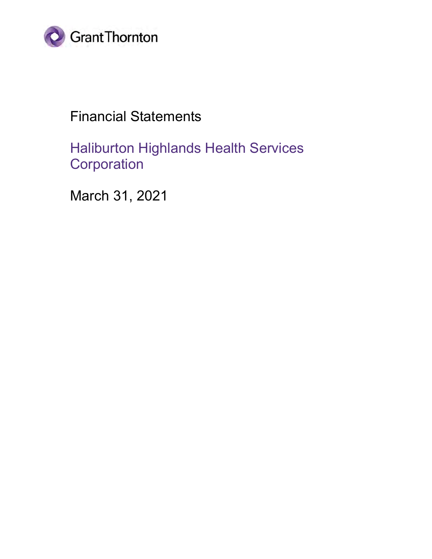

## Financial Statements

Haliburton Highlands Health Services **Corporation** 

March 31, 2021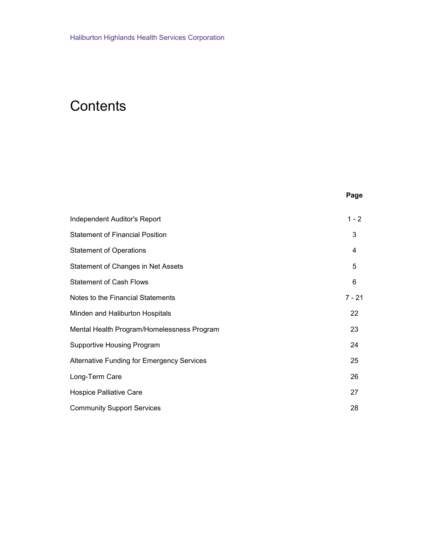## **Contents**

| . .<br>۰,<br>×<br>× |  |
|---------------------|--|
|---------------------|--|

| Independent Auditor's Report                      | $1 - 2$  |
|---------------------------------------------------|----------|
| <b>Statement of Financial Position</b>            | 3        |
| <b>Statement of Operations</b>                    | 4        |
| Statement of Changes in Net Assets                | 5        |
| <b>Statement of Cash Flows</b>                    | 6        |
| Notes to the Financial Statements                 | $7 - 21$ |
| Minden and Haliburton Hospitals                   | 22       |
| Mental Health Program/Homelessness Program        | 23       |
| <b>Supportive Housing Program</b>                 | 24       |
| <b>Alternative Funding for Emergency Services</b> | 25       |
| Long-Term Care                                    | 26       |
| <b>Hospice Palliative Care</b>                    | 27       |
| <b>Community Support Services</b>                 | 28       |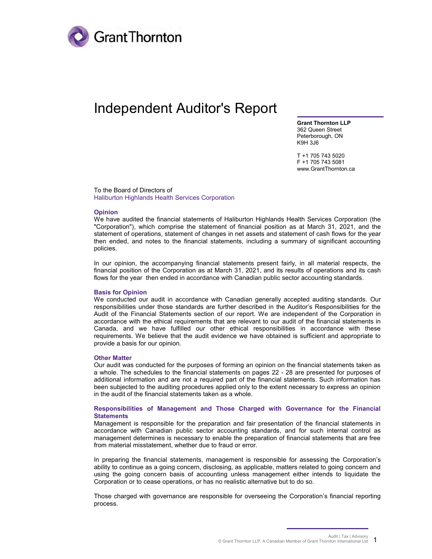

### Independent Auditor's Report

Grant Thornton LLP 362 Queen Street Peterborough, ON K9H 3J6

T +1 705 743 5020 F +1 705 743 5081 www.GrantThornton.ca

To the Board of Directors of Haliburton Highlands Health Services Corporation

#### Opinion

We have audited the financial statements of Haliburton Highlands Health Services Corporation (the "Corporation"), which comprise the statement of financial position as at March 31, 2021, and the statement of operations, statement of changes in net assets and statement of cash flows for the year then ended, and notes to the financial statements, including a summary of significant accounting policies.

In our opinion, the accompanying financial statements present fairly, in all material respects, the financial position of the Corporation as at March 31, 2021, and its results of operations and its cash flows for the year then ended in accordance with Canadian public sector accounting standards.

#### Basis for Opinion

We conducted our audit in accordance with Canadian generally accepted auditing standards. Our responsibilities under those standards are further described in the Auditor's Responsibilities for the Audit of the Financial Statements section of our report. We are independent of the Corporation in accordance with the ethical requirements that are relevant to our audit of the financial statements in Canada, and we have fulfilled our other ethical responsibilities in accordance with these requirements. We believe that the audit evidence we have obtained is sufficient and appropriate to provide a basis for our opinion.

#### Other Matter

Our audit was conducted for the purposes of forming an opinion on the financial statements taken as a whole. The schedules to the financial statements on pages 22 - 28 are presented for purposes of additional information and are not a required part of the financial statements. Such information has been subjected to the auditing procedures applied only to the extent necessary to express an opinion in the audit of the financial statements taken as a whole.

#### Responsibilities of Management and Those Charged with Governance for the Financial **Statements**

Management is responsible for the preparation and fair presentation of the financial statements in accordance with Canadian public sector accounting standards, and for such internal control as management determines is necessary to enable the preparation of financial statements that are free from material misstatement, whether due to fraud or error.

In preparing the financial statements, management is responsible for assessing the Corporation's ability to continue as a going concern, disclosing, as applicable, matters related to going concern and using the going concern basis of accounting unless management either intends to liquidate the Corporation or to cease operations, or has no realistic alternative but to do so.

Those charged with governance are responsible for overseeing the Corporation's financial reporting process.

Audit | Tax | Advisory © Grant Thornton LLP. A Canadian Member of Grant Thornton International Ltd 1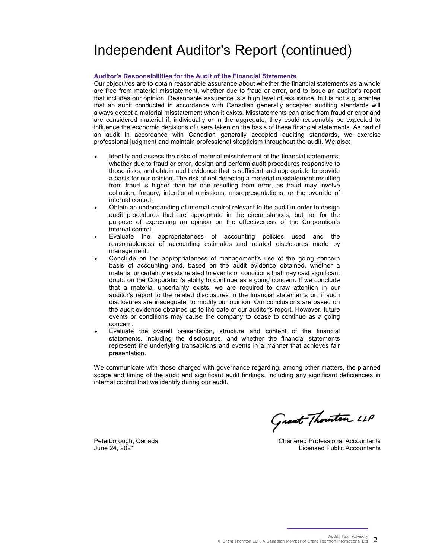## Independent Auditor's Report (continued)

#### Auditor's Responsibilities for the Audit of the Financial Statements

Our objectives are to obtain reasonable assurance about whether the financial statements as a whole are free from material misstatement, whether due to fraud or error, and to issue an auditor's report that includes our opinion. Reasonable assurance is a high level of assurance, but is not a guarantee that an audit conducted in accordance with Canadian generally accepted auditing standards will always detect a material misstatement when it exists. Misstatements can arise from fraud or error and are considered material if, individually or in the aggregate, they could reasonably be expected to influence the economic decisions of users taken on the basis of these financial statements. As part of an audit in accordance with Canadian generally accepted auditing standards, we exercise professional judgment and maintain professional skepticism throughout the audit. We also:

- Identify and assess the risks of material misstatement of the financial statements, whether due to fraud or error, design and perform audit procedures responsive to those risks, and obtain audit evidence that is sufficient and appropriate to provide a basis for our opinion. The risk of not detecting a material misstatement resulting from fraud is higher than for one resulting from error, as fraud may involve collusion, forgery, intentional omissions, misrepresentations, or the override of internal control.
- Obtain an understanding of internal control relevant to the audit in order to design audit procedures that are appropriate in the circumstances, but not for the purpose of expressing an opinion on the effectiveness of the Corporation's internal control.
- Evaluate the appropriateness of accounting policies used and the reasonableness of accounting estimates and related disclosures made by management.
- Conclude on the appropriateness of management's use of the going concern basis of accounting and, based on the audit evidence obtained, whether a material uncertainty exists related to events or conditions that may cast significant doubt on the Corporation's ability to continue as a going concern. If we conclude that a material uncertainty exists, we are required to draw attention in our auditor's report to the related disclosures in the financial statements or, if such disclosures are inadequate, to modify our opinion. Our conclusions are based on the audit evidence obtained up to the date of our auditor's report. However, future events or conditions may cause the company to cease to continue as a going concern.
- Evaluate the overall presentation, structure and content of the financial statements, including the disclosures, and whether the financial statements represent the underlying transactions and events in a manner that achieves fair presentation.

We communicate with those charged with governance regarding, among other matters, the planned scope and timing of the audit and significant audit findings, including any significant deficiencies in internal control that we identify during our audit.

Grant Thounton LLP

Chartered Professional Accountants Licensed Public Accountants

Peterborough, Canada June 24, 2021

Audit | Tax | Advisory © Grant Thornton LLP. A Canadian Member of Grant Thornton International Ltd 2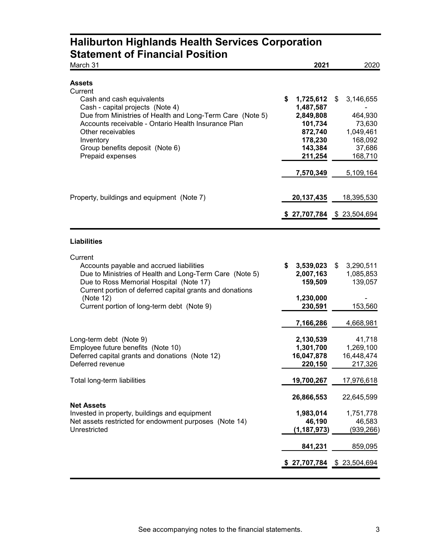### Haliburton Highlands Health Services Corporation Statement of Financial Position

| March 31                                                                                                                                                                                                                                                                                               | 2021                                                                                             | 2020                                                                              |
|--------------------------------------------------------------------------------------------------------------------------------------------------------------------------------------------------------------------------------------------------------------------------------------------------------|--------------------------------------------------------------------------------------------------|-----------------------------------------------------------------------------------|
| <b>Assets</b><br>Current<br>Cash and cash equivalents<br>Cash - capital projects (Note 4)<br>Due from Ministries of Health and Long-Term Care (Note 5)<br>Accounts receivable - Ontario Health Insurance Plan<br>Other receivables<br>Inventory<br>Group benefits deposit (Note 6)<br>Prepaid expenses | \$<br>1,725,612<br>1,487,587<br>2,849,808<br>101,734<br>872,740<br>178,230<br>143,384<br>211,254 | \$<br>3,146,655<br>464,930<br>73,630<br>1,049,461<br>168,092<br>37,686<br>168,710 |
| Property, buildings and equipment (Note 7)                                                                                                                                                                                                                                                             | 7,570,349<br>20, 137, 435<br>\$27,707,784                                                        | 5,109,164<br>18,395,530<br>\$23,504,694                                           |
| <b>Liabilities</b>                                                                                                                                                                                                                                                                                     |                                                                                                  |                                                                                   |
| Current<br>Accounts payable and accrued liabilities<br>Due to Ministries of Health and Long-Term Care (Note 5)<br>Due to Ross Memorial Hospital (Note 17)<br>Current portion of deferred capital grants and donations<br>(Note 12)<br>Current portion of long-term debt (Note 9)                       | \$<br>3,539,023<br>2,007,163<br>159,509<br>1,230,000<br>230,591<br>7,166,286                     | \$<br>3,290,511<br>1,085,853<br>139,057<br>153,560<br>4,668,981                   |
| Long-term debt (Note 9)<br>Employee future benefits (Note 10)<br>Deferred capital grants and donations (Note 12)<br>Deferred revenue<br>Total long-term liabilities                                                                                                                                    | 2,130,539<br>1,301,700<br>16,047,878<br>220,150<br>19,700,267                                    | 41,718<br>1,269,100<br>16,448,474<br>217,326<br>17,976,618                        |
|                                                                                                                                                                                                                                                                                                        | 26,866,553                                                                                       | 22,645,599                                                                        |
| <b>Net Assets</b><br>Invested in property, buildings and equipment<br>Net assets restricted for endowment purposes (Note 14)<br>Unrestricted                                                                                                                                                           | 1,983,014<br>46,190<br>(1, 187, 973)                                                             | 1,751,778<br>46,583<br>(939, 266)                                                 |
|                                                                                                                                                                                                                                                                                                        | 841,231                                                                                          | 859,095                                                                           |
|                                                                                                                                                                                                                                                                                                        | \$27,707,784                                                                                     | \$23,504,694                                                                      |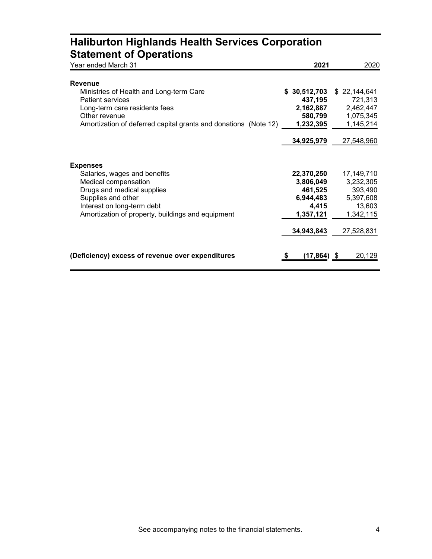### Haliburton Highlands Health Services Corporation Statement of Operations

| Year ended March 31                                             | 2021          | 2020           |
|-----------------------------------------------------------------|---------------|----------------|
| <b>Revenue</b>                                                  |               |                |
| Ministries of Health and Long-term Care                         | \$30,512,703  | \$22,144,641   |
| <b>Patient services</b>                                         | 437,195       | 721,313        |
| Long-term care residents fees                                   | 2,162,887     | 2,462,447      |
| Other revenue                                                   | 580,799       | 1,075,345      |
| Amortization of deferred capital grants and donations (Note 12) | 1,232,395     | 1,145,214      |
|                                                                 | 34,925,979    | 27,548,960     |
| <b>Expenses</b>                                                 |               |                |
| Salaries, wages and benefits                                    | 22,370,250    | 17,149,710     |
| Medical compensation                                            | 3,806,049     | 3,232,305      |
| Drugs and medical supplies                                      | 461,525       | 393,490        |
| Supplies and other                                              | 6,944,483     | 5,397,608      |
| Interest on long-term debt                                      | 4,415         | 13,603         |
| Amortization of property, buildings and equipment               | 1,357,121     | 1,342,115      |
|                                                                 | 34,943,843    | 27,528,831     |
| (Deficiency) excess of revenue over expenditures                | (17,864)<br>S | 20,129<br>- \$ |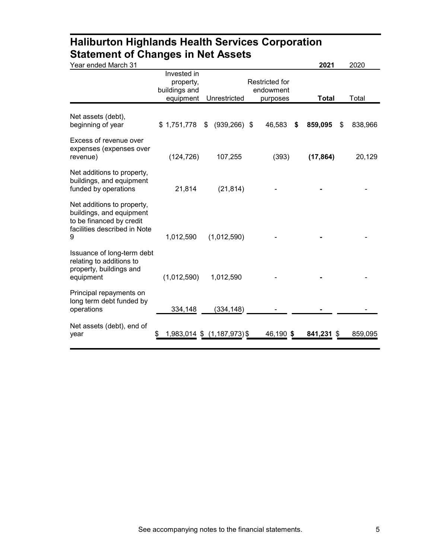### Haliburton Highlands Health Services Corporation Statement of Changes in Net Assets

| Year ended March 31                                                                                                     |                                                        |                             |                                                | 2021          | 2020          |
|-------------------------------------------------------------------------------------------------------------------------|--------------------------------------------------------|-----------------------------|------------------------------------------------|---------------|---------------|
|                                                                                                                         | Invested in<br>property,<br>buildings and<br>equipment | Unrestricted                | <b>Restricted for</b><br>endowment<br>purposes | <b>Total</b>  | Total         |
| Net assets (debt),<br>beginning of year                                                                                 | \$1,751,778                                            | $(939, 266)$ \$<br>\$       | 46,583                                         | 859,095<br>\$ | 838,966<br>\$ |
| Excess of revenue over<br>expenses (expenses over<br>revenue)                                                           | (124, 726)                                             | 107,255                     | (393)                                          | (17, 864)     | 20,129        |
| Net additions to property,<br>buildings, and equipment<br>funded by operations                                          | 21,814                                                 | (21, 814)                   |                                                |               |               |
| Net additions to property,<br>buildings, and equipment<br>to be financed by credit<br>facilities described in Note<br>9 | 1,012,590                                              | (1,012,590)                 |                                                |               |               |
| Issuance of long-term debt<br>relating to additions to<br>property, buildings and<br>equipment                          | (1,012,590)                                            | 1,012,590                   |                                                |               |               |
| Principal repayments on<br>long term debt funded by<br>operations                                                       | 334,148                                                | (334,148)                   |                                                |               |               |
| Net assets (debt), end of<br>year                                                                                       |                                                        | 1,983,014 \$ (1,187,973) \$ | 46,190 \$                                      | 841,231 \$    | 859,095       |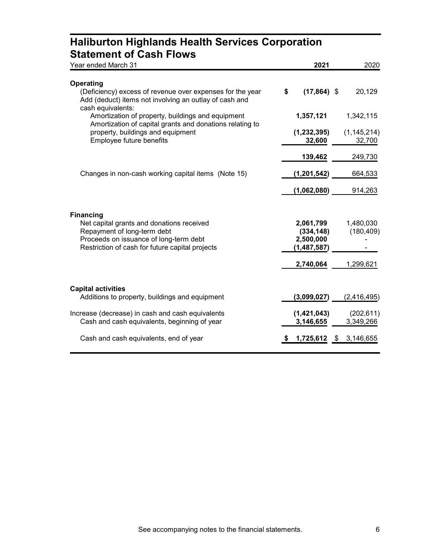### Haliburton Highlands Health Services Corporation Statement of Cash Flows

| Year ended March 31                                                                                                                                                                       | 2021                                                | 2020                    |
|-------------------------------------------------------------------------------------------------------------------------------------------------------------------------------------------|-----------------------------------------------------|-------------------------|
| Operating<br>(Deficiency) excess of revenue over expenses for the year<br>Add (deduct) items not involving an outlay of cash and<br>cash equivalents:                                     | \$<br>$(17,864)$ \$                                 | 20,129                  |
| Amortization of property, buildings and equipment<br>Amortization of capital grants and donations relating to                                                                             | 1,357,121                                           | 1,342,115               |
| property, buildings and equipment<br>Employee future benefits                                                                                                                             | (1, 232, 395)<br>32,600                             | (1, 145, 214)<br>32,700 |
| Changes in non-cash working capital items (Note 15)                                                                                                                                       | 139,462<br>(1, 201, 542)                            | 249,730<br>664,533      |
|                                                                                                                                                                                           | (1,062,080)                                         | 914,263                 |
| <b>Financing</b><br>Net capital grants and donations received<br>Repayment of long-term debt<br>Proceeds on issuance of long-term debt<br>Restriction of cash for future capital projects | 2,061,799<br>(334, 148)<br>2,500,000<br>(1,487,587) | 1,480,030<br>(180, 409) |
| <b>Capital activities</b>                                                                                                                                                                 | 2,740,064                                           | 1,299,621               |
| Additions to property, buildings and equipment                                                                                                                                            | (3,099,027)                                         | (2, 416, 495)           |
| Increase (decrease) in cash and cash equivalents<br>Cash and cash equivalents, beginning of year                                                                                          | (1,421,043)<br>3,146,655                            | (202, 611)<br>3,349,266 |
| Cash and cash equivalents, end of year                                                                                                                                                    | 1,725,612                                           | \$<br>3,146,655         |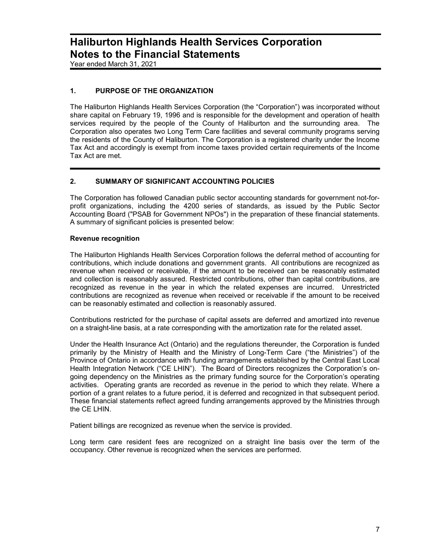Year ended March 31, 2021

### 1. PURPOSE OF THE ORGANIZATION

The Haliburton Highlands Health Services Corporation (the "Corporation") was incorporated without share capital on February 19, 1996 and is responsible for the development and operation of health services required by the people of the County of Haliburton and the surrounding area. The Corporation also operates two Long Term Care facilities and several community programs serving the residents of the County of Haliburton. The Corporation is a registered charity under the Income Tax Act and accordingly is exempt from income taxes provided certain requirements of the Income Tax Act are met.

#### 2. SUMMARY OF SIGNIFICANT ACCOUNTING POLICIES

The Corporation has followed Canadian public sector accounting standards for government not-forprofit organizations, including the 4200 series of standards, as issued by the Public Sector Accounting Board ("PSAB for Government NPOs") in the preparation of these financial statements. A summary of significant policies is presented below:

#### Revenue recognition

The Haliburton Highlands Health Services Corporation follows the deferral method of accounting for contributions, which include donations and government grants. All contributions are recognized as revenue when received or receivable, if the amount to be received can be reasonably estimated and collection is reasonably assured. Restricted contributions, other than capital contributions, are recognized as revenue in the year in which the related expenses are incurred. Unrestricted contributions are recognized as revenue when received or receivable if the amount to be received can be reasonably estimated and collection is reasonably assured.

Contributions restricted for the purchase of capital assets are deferred and amortized into revenue on a straight-line basis, at a rate corresponding with the amortization rate for the related asset.

Under the Health Insurance Act (Ontario) and the regulations thereunder, the Corporation is funded primarily by the Ministry of Health and the Ministry of Long-Term Care ("the Ministries") of the Province of Ontario in accordance with funding arrangements established by the Central East Local Health Integration Network ("CE LHIN"). The Board of Directors recognizes the Corporation's ongoing dependency on the Ministries as the primary funding source for the Corporation's operating activities. Operating grants are recorded as revenue in the period to which they relate. Where a portion of a grant relates to a future period, it is deferred and recognized in that subsequent period. These financial statements reflect agreed funding arrangements approved by the Ministries through the CE LHIN.

Patient billings are recognized as revenue when the service is provided.

Long term care resident fees are recognized on a straight line basis over the term of the occupancy. Other revenue is recognized when the services are performed.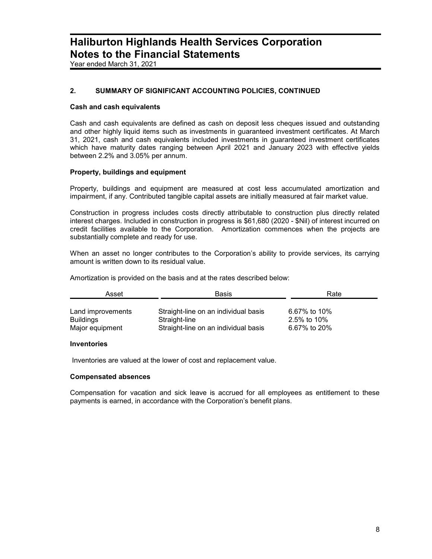Year ended March 31, 2021

### 2. SUMMARY OF SIGNIFICANT ACCOUNTING POLICIES, CONTINUED

#### Cash and cash equivalents

Cash and cash equivalents are defined as cash on deposit less cheques issued and outstanding and other highly liquid items such as investments in guaranteed investment certificates. At March 31, 2021, cash and cash equivalents included investments in guaranteed investment certificates which have maturity dates ranging between April 2021 and January 2023 with effective yields between 2.2% and 3.05% per annum.

#### Property, buildings and equipment

Property, buildings and equipment are measured at cost less accumulated amortization and impairment, if any. Contributed tangible capital assets are initially measured at fair market value.

Construction in progress includes costs directly attributable to construction plus directly related interest charges. Included in construction in progress is \$61,680 (2020 - \$Nil) of interest incurred on credit facilities available to the Corporation. Amortization commences when the projects are substantially complete and ready for use.

When an asset no longer contributes to the Corporation's ability to provide services, its carrying amount is written down to its residual value.

Amortization is provided on the basis and at the rates described below:

| Asset             | Basis                                | Rate         |
|-------------------|--------------------------------------|--------------|
| Land improvements | Straight-line on an individual basis | 6.67% to 10% |
| Buildings         | Straight-line                        | 2.5% to 10%  |
| Major equipment   | Straight-line on an individual basis | 6.67% to 20% |

#### Inventories

Inventories are valued at the lower of cost and replacement value.

#### Compensated absences

Compensation for vacation and sick leave is accrued for all employees as entitlement to these payments is earned, in accordance with the Corporation's benefit plans.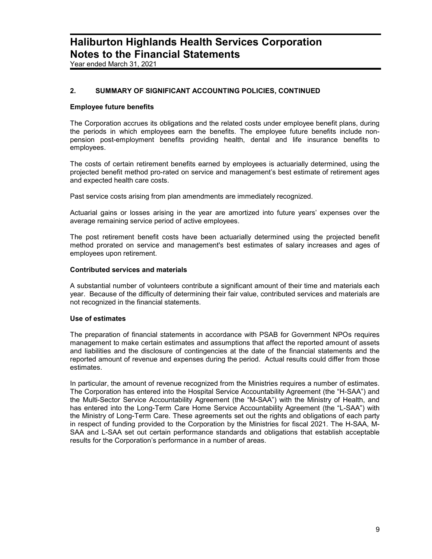Year ended March 31, 2021

### 2. SUMMARY OF SIGNIFICANT ACCOUNTING POLICIES, CONTINUED

#### Employee future benefits

The Corporation accrues its obligations and the related costs under employee benefit plans, during the periods in which employees earn the benefits. The employee future benefits include nonpension post-employment benefits providing health, dental and life insurance benefits to employees.

The costs of certain retirement benefits earned by employees is actuarially determined, using the projected benefit method pro-rated on service and management's best estimate of retirement ages and expected health care costs.

Past service costs arising from plan amendments are immediately recognized.

Actuarial gains or losses arising in the year are amortized into future years' expenses over the average remaining service period of active employees.

The post retirement benefit costs have been actuarially determined using the projected benefit method prorated on service and management's best estimates of salary increases and ages of employees upon retirement.

#### Contributed services and materials

A substantial number of volunteers contribute a significant amount of their time and materials each year. Because of the difficulty of determining their fair value, contributed services and materials are not recognized in the financial statements.

#### Use of estimates

The preparation of financial statements in accordance with PSAB for Government NPOs requires management to make certain estimates and assumptions that affect the reported amount of assets and liabilities and the disclosure of contingencies at the date of the financial statements and the reported amount of revenue and expenses during the period. Actual results could differ from those estimates.

In particular, the amount of revenue recognized from the Ministries requires a number of estimates. The Corporation has entered into the Hospital Service Accountability Agreement (the "H-SAA") and the Multi-Sector Service Accountability Agreement (the "M-SAA") with the Ministry of Health, and has entered into the Long-Term Care Home Service Accountability Agreement (the "L-SAA") with the Ministry of Long-Term Care. These agreements set out the rights and obligations of each party in respect of funding provided to the Corporation by the Ministries for fiscal 2021. The H-SAA, M-SAA and L-SAA set out certain performance standards and obligations that establish acceptable results for the Corporation's performance in a number of areas.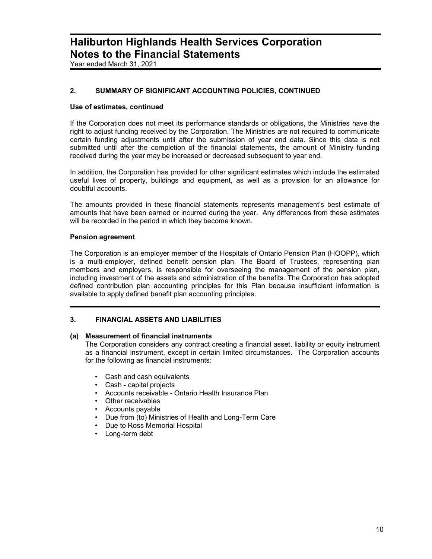Year ended March 31, 2021

### 2. SUMMARY OF SIGNIFICANT ACCOUNTING POLICIES, CONTINUED

#### Use of estimates, continued

If the Corporation does not meet its performance standards or obligations, the Ministries have the right to adjust funding received by the Corporation. The Ministries are not required to communicate certain funding adjustments until after the submission of year end data. Since this data is not submitted until after the completion of the financial statements, the amount of Ministry funding received during the year may be increased or decreased subsequent to year end.

In addition, the Corporation has provided for other significant estimates which include the estimated useful lives of property, buildings and equipment, as well as a provision for an allowance for doubtful accounts.

The amounts provided in these financial statements represents management's best estimate of amounts that have been earned or incurred during the year. Any differences from these estimates will be recorded in the period in which they become known.

#### Pension agreement

The Corporation is an employer member of the Hospitals of Ontario Pension Plan (HOOPP), which is a multi-employer, defined benefit pension plan. The Board of Trustees, representing plan members and employers, is responsible for overseeing the management of the pension plan, including investment of the assets and administration of the benefits. The Corporation has adopted defined contribution plan accounting principles for this Plan because insufficient information is available to apply defined benefit plan accounting principles.

### 3. FINANCIAL ASSETS AND LIABILITIES

### (a) Measurement of financial instruments

 The Corporation considers any contract creating a financial asset, liability or equity instrument as a financial instrument, except in certain limited circumstances. The Corporation accounts for the following as financial instruments:

- Cash and cash equivalents
- Cash capital projects
- Accounts receivable Ontario Health Insurance Plan
- Other receivables
- Accounts payable
- Due from (to) Ministries of Health and Long-Term Care
- Due to Ross Memorial Hospital
- Long-term debt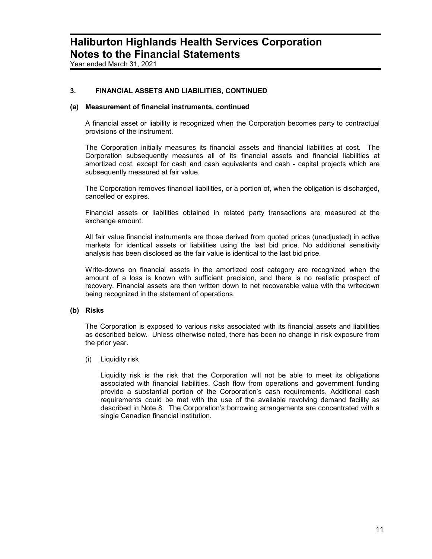Year ended March 31, 2021

### 3. FINANCIAL ASSETS AND LIABILITIES, CONTINUED

#### (a) Measurement of financial instruments, continued

A financial asset or liability is recognized when the Corporation becomes party to contractual provisions of the instrument.

The Corporation initially measures its financial assets and financial liabilities at cost. The Corporation subsequently measures all of its financial assets and financial liabilities at amortized cost, except for cash and cash equivalents and cash - capital projects which are subsequently measured at fair value.

The Corporation removes financial liabilities, or a portion of, when the obligation is discharged, cancelled or expires.

Financial assets or liabilities obtained in related party transactions are measured at the exchange amount.

All fair value financial instruments are those derived from quoted prices (unadjusted) in active markets for identical assets or liabilities using the last bid price. No additional sensitivity analysis has been disclosed as the fair value is identical to the last bid price.

Write-downs on financial assets in the amortized cost category are recognized when the amount of a loss is known with sufficient precision, and there is no realistic prospect of recovery. Financial assets are then written down to net recoverable value with the writedown being recognized in the statement of operations.

#### (b) Risks

The Corporation is exposed to various risks associated with its financial assets and liabilities as described below. Unless otherwise noted, there has been no change in risk exposure from the prior year.

#### (i) Liquidity risk

Liquidity risk is the risk that the Corporation will not be able to meet its obligations associated with financial liabilities. Cash flow from operations and government funding provide a substantial portion of the Corporation's cash requirements. Additional cash requirements could be met with the use of the available revolving demand facility as described in Note 8. The Corporation's borrowing arrangements are concentrated with a single Canadian financial institution.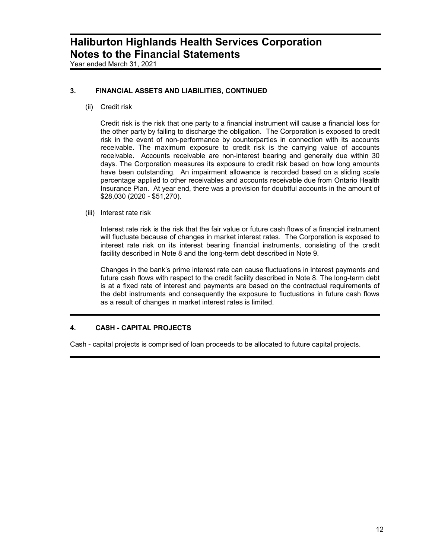Year ended March 31, 2021

### 3. FINANCIAL ASSETS AND LIABILITIES, CONTINUED

(ii) Credit risk

Credit risk is the risk that one party to a financial instrument will cause a financial loss for the other party by failing to discharge the obligation. The Corporation is exposed to credit risk in the event of non-performance by counterparties in connection with its accounts receivable. The maximum exposure to credit risk is the carrying value of accounts receivable. Accounts receivable are non-interest bearing and generally due within 30 days. The Corporation measures its exposure to credit risk based on how long amounts have been outstanding. An impairment allowance is recorded based on a sliding scale percentage applied to other receivables and accounts receivable due from Ontario Health Insurance Plan. At year end, there was a provision for doubtful accounts in the amount of \$28,030 (2020 - \$51,270).

(iii) Interest rate risk

Interest rate risk is the risk that the fair value or future cash flows of a financial instrument will fluctuate because of changes in market interest rates. The Corporation is exposed to interest rate risk on its interest bearing financial instruments, consisting of the credit facility described in Note 8 and the long-term debt described in Note 9.

Changes in the bank's prime interest rate can cause fluctuations in interest payments and future cash flows with respect to the credit facility described in Note 8. The long-term debt is at a fixed rate of interest and payments are based on the contractual requirements of the debt instruments and consequently the exposure to fluctuations in future cash flows as a result of changes in market interest rates is limited.

### 4. CASH - CAPITAL PROJECTS

Cash - capital projects is comprised of loan proceeds to be allocated to future capital projects.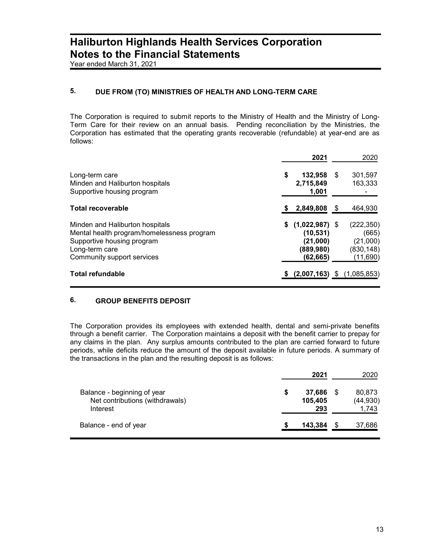Year ended March 31, 2021

### 5. DUE FROM (TO) MINISTRIES OF HEALTH AND LONG-TERM CARE

The Corporation is required to submit reports to the Ministry of Health and the Ministry of Long-Term Care for their review on an annual basis. Pending reconciliation by the Ministries, the Corporation has estimated that the operating grants recoverable (refundable) at year-end are as follows:

|                                                                                                                                                             | 2021                                                               |      | 2020                                                      |
|-------------------------------------------------------------------------------------------------------------------------------------------------------------|--------------------------------------------------------------------|------|-----------------------------------------------------------|
| Long-term care<br>Minden and Haliburton hospitals<br>Supportive housing program                                                                             | \$<br>132,958<br>2,715,849<br>1,001                                | S    | 301,597<br>163,333                                        |
| <b>Total recoverable</b>                                                                                                                                    | 2,849,808                                                          | - \$ | 464,930                                                   |
| Minden and Haliburton hospitals<br>Mental health program/homelessness program<br>Supportive housing program<br>Long-term care<br>Community support services | $(1,022,987)$ \$<br>(10,531)<br>(21,000)<br>(889,980)<br>(62, 665) |      | (222, 350)<br>(665)<br>(21,000)<br>(830, 148)<br>(11,690) |
| Total refundable                                                                                                                                            | (2,007,163)                                                        | \$   | (1,085,853)                                               |

### 6. GROUP BENEFITS DEPOSIT

The Corporation provides its employees with extended health, dental and semi-private benefits through a benefit carrier. The Corporation maintains a deposit with the benefit carrier to prepay for any claims in the plan. Any surplus amounts contributed to the plan are carried forward to future periods, while deficits reduce the amount of the deposit available in future periods. A summary of the transactions in the plan and the resulting deposit is as follows:

|                                                                            |   | 2021                     |      | 2020                         |
|----------------------------------------------------------------------------|---|--------------------------|------|------------------------------|
| Balance - beginning of year<br>Net contributions (withdrawals)<br>Interest | S | 37,686<br>105,405<br>293 | - \$ | 80,873<br>(44, 930)<br>1,743 |
| Balance - end of year                                                      |   | 143,384                  |      | 37,686                       |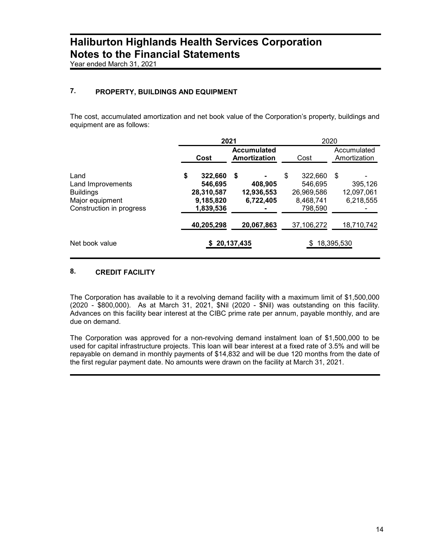Year ended March 31, 2021

### 7. PROPERTY, BUILDINGS AND EQUIPMENT

The cost, accumulated amortization and net book value of the Corporation's property, buildings and equipment are as follows:

|                                                                                              | 2021                                                             |                                          | 2020                                                           |            |                                    |
|----------------------------------------------------------------------------------------------|------------------------------------------------------------------|------------------------------------------|----------------------------------------------------------------|------------|------------------------------------|
|                                                                                              |                                                                  | <b>Accumulated</b>                       |                                                                |            | Accumulated                        |
|                                                                                              | Cost                                                             | Amortization                             | Cost                                                           |            | Amortization                       |
| Land<br>Land Improvements<br><b>Buildings</b><br>Major equipment<br>Construction in progress | \$<br>322,660<br>546,695<br>28,310,587<br>9,185,820<br>1,839,536 | \$<br>408,905<br>12,936,553<br>6,722,405 | \$<br>322,660<br>546.695<br>26,969,586<br>8,468,741<br>798,590 | \$         | 395,126<br>12,097,061<br>6,218,555 |
|                                                                                              | 40,205,298                                                       | 20,067,863                               | 37,106,272                                                     |            | 18,710,742                         |
| Net book value                                                                               |                                                                  | 20,137,435                               |                                                                | 18,395,530 |                                    |

### 8. CREDIT FACILITY

The Corporation has available to it a revolving demand facility with a maximum limit of \$1,500,000 (2020 - \$800,000). As at March 31, 2021, \$Nil (2020 - \$Nil) was outstanding on this facility. Advances on this facility bear interest at the CIBC prime rate per annum, payable monthly, and are due on demand.

The Corporation was approved for a non-revolving demand instalment loan of \$1,500,000 to be used for capital infrastructure projects. This loan will bear interest at a fixed rate of 3.5% and will be repayable on demand in monthly payments of \$14,832 and will be due 120 months from the date of the first regular payment date. No amounts were drawn on the facility at March 31, 2021.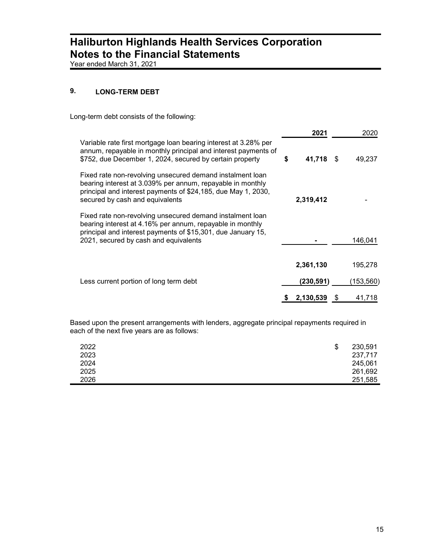Year ended March 31, 2021

### 9. LONG-TERM DEBT

Long-term debt consists of the following:

|                                                                                                                                                                                                                                 |   | 2021      |      | 2020      |
|---------------------------------------------------------------------------------------------------------------------------------------------------------------------------------------------------------------------------------|---|-----------|------|-----------|
| Variable rate first mortgage loan bearing interest at 3.28% per<br>annum, repayable in monthly principal and interest payments of<br>\$752, due December 1, 2024, secured by certain property                                   | S | 41,718    | - \$ | 49,237    |
| Fixed rate non-revolving unsecured demand instalment loan<br>bearing interest at 3.039% per annum, repayable in monthly<br>principal and interest payments of \$24,185, due May 1, 2030,<br>secured by cash and equivalents     |   | 2,319,412 |      |           |
| Fixed rate non-revolving unsecured demand instalment loan<br>bearing interest at 4.16% per annum, repayable in monthly<br>principal and interest payments of \$15,301, due January 15,<br>2021, secured by cash and equivalents |   |           |      | 146,041   |
|                                                                                                                                                                                                                                 |   | 2,361,130 |      | 195,278   |
| Less current portion of long term debt                                                                                                                                                                                          |   | (230,591) |      | (153,560) |
|                                                                                                                                                                                                                                 |   | 2,130,539 | S    | 41,718    |

Based upon the present arrangements with lenders, aggregate principal repayments required in each of the next five years are as follows:

| 2022 | \$<br>230,591 |
|------|---------------|
| 2023 | 237,717       |
| 2024 | 245,061       |
| 2025 | 261,692       |
| 2026 | 251,585       |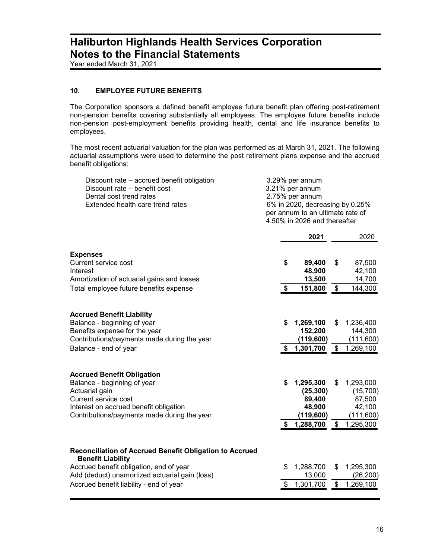Year ended March 31, 2021

### 10. EMPLOYEE FUTURE BENEFITS

The Corporation sponsors a defined benefit employee future benefit plan offering post-retirement non-pension benefits covering substantially all employees. The employee future benefits include non-pension post-employment benefits providing health, dental and life insurance benefits to employees.

The most recent actuarial valuation for the plan was performed as at March 31, 2021. The following actuarial assumptions were used to determine the post retirement plans expense and the accrued benefit obligations:

| Discount rate - accrued benefit obligation<br>Discount rate – benefit cost<br>Dental cost trend rates<br>Extended health care trend rates                                                                                   | 3.29% per annum<br>3.21% per annum<br>2.75% per annum<br>6% in 2020, decreasing by 0.25%<br>per annum to an ultimate rate of<br>4.50% in 2026 and thereafter |                                                                       |                                 |                                                                     |
|-----------------------------------------------------------------------------------------------------------------------------------------------------------------------------------------------------------------------------|--------------------------------------------------------------------------------------------------------------------------------------------------------------|-----------------------------------------------------------------------|---------------------------------|---------------------------------------------------------------------|
|                                                                                                                                                                                                                             |                                                                                                                                                              | 2021                                                                  |                                 | 2020                                                                |
| <b>Expenses</b><br><b>Current service cost</b><br>Interest<br>Amortization of actuarial gains and losses<br>Total employee future benefits expense                                                                          | \$<br>\$                                                                                                                                                     | 89,400<br>48,900<br>13,500<br>151,800                                 | \$<br>$\frac{1}{2}$             | 87,500<br>42,100<br>14,700<br>144,300                               |
| <b>Accrued Benefit Liability</b><br>Balance - beginning of year<br>Benefits expense for the year<br>Contributions/payments made during the year<br>Balance - end of year                                                    | \$<br>\$                                                                                                                                                     | 1,269,100<br>152,200<br>(119,600)<br>1,301,700                        | \$<br>$\mathfrak{S}$            | 1,236,400<br>144,300<br>(111,600)<br>1,269,100                      |
| <b>Accrued Benefit Obligation</b><br>Balance - beginning of year<br>Actuarial gain<br>Current service cost<br>Interest on accrued benefit obligation<br>Contributions/payments made during the year                         | \$<br>\$                                                                                                                                                     | 1,295,300<br>(25, 300)<br>89,400<br>48,900<br>(119, 600)<br>1,288,700 | \$<br>$\boldsymbol{\mathsf{S}}$ | 1,293,000<br>(15,700)<br>87,500<br>42,100<br>(111,600)<br>1,295,300 |
| Reconciliation of Accrued Benefit Obligation to Accrued<br><b>Benefit Liability</b><br>Accrued benefit obligation, end of year<br>Add (deduct) unamortized actuarial gain (loss)<br>Accrued benefit liability - end of year | \$<br>\$                                                                                                                                                     | 1,288,700<br>13,000<br>1,301,700                                      | \$<br>$\boldsymbol{\mathsf{S}}$ | 1,295,300<br>(26, 200)<br>1,269,100                                 |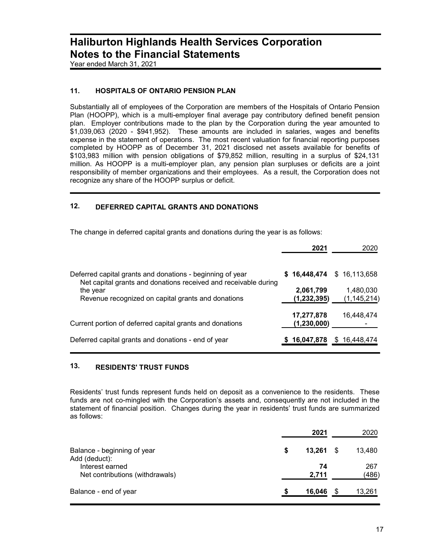Year ended March 31, 2021

### 11. HOSPITALS OF ONTARIO PENSION PLAN

Substantially all of employees of the Corporation are members of the Hospitals of Ontario Pension Plan (HOOPP), which is a multi-employer final average pay contributory defined benefit pension plan. Employer contributions made to the plan by the Corporation during the year amounted to \$1,039,063 (2020 - \$941,952). These amounts are included in salaries, wages and benefits expense in the statement of operations. The most recent valuation for financial reporting purposes completed by HOOPP as of December 31, 2021 disclosed net assets available for benefits of \$103,983 million with pension obligations of \$79,852 million, resulting in a surplus of \$24,131 million. As HOOPP is a multi-employer plan, any pension plan surpluses or deficits are a joint responsibility of member organizations and their employees. As a result, the Corporation does not recognize any share of the HOOPP surplus or deficit.

### 12. DEFERRED CAPITAL GRANTS AND DONATIONS

The change in deferred capital grants and donations during the year is as follows:

|                                                                                                                              | 2021          | 2020            |
|------------------------------------------------------------------------------------------------------------------------------|---------------|-----------------|
| Deferred capital grants and donations - beginning of year<br>Net capital grants and donations received and receivable during | \$16,448,474  | \$16,113,658    |
| the year                                                                                                                     | 2,061,799     | 1,480,030       |
| Revenue recognized on capital grants and donations                                                                           | (1,232,395)   | (1,145,214)     |
|                                                                                                                              | 17,277,878    | 16,448,474      |
| Current portion of deferred capital grants and donations                                                                     | (1, 230, 000) |                 |
| Deferred capital grants and donations - end of year                                                                          | 16,047,878    | 16,448,474<br>S |

### 13. RESIDENTS' TRUST FUNDS

Residents' trust funds represent funds held on deposit as a convenience to the residents. These funds are not co-mingled with the Corporation's assets and, consequently are not included in the statement of financial position. Changes during the year in residents' trust funds are summarized as follows:

|                                                    |   | 2021        | 2020         |
|----------------------------------------------------|---|-------------|--------------|
| Balance - beginning of year<br>Add (deduct):       | S | 13.261      | \$<br>13,480 |
| Interest earned<br>Net contributions (withdrawals) |   | 74<br>2,711 | 267<br>(486) |
| Balance - end of year                              |   | 16,046      | \$<br>13,261 |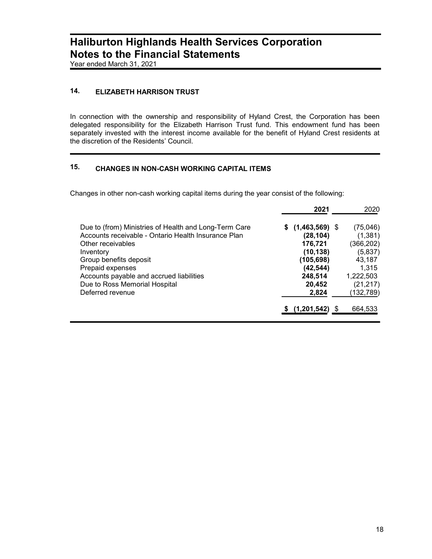Year ended March 31, 2021

### 14. ELIZABETH HARRISON TRUST

In connection with the ownership and responsibility of Hyland Crest, the Corporation has been delegated responsibility for the Elizabeth Harrison Trust fund. This endowment fund has been separately invested with the interest income available for the benefit of Hyland Crest residents at the discretion of the Residents' Council.

### 15. CHANGES IN NON-CASH WORKING CAPITAL ITEMS

Changes in other non-cash working capital items during the year consist of the following:

|                                                       | 2021              | 2020       |
|-------------------------------------------------------|-------------------|------------|
| Due to (from) Ministries of Health and Long-Term Care | $$(1,463,569)$ \$ | (75, 046)  |
| Accounts receivable - Ontario Health Insurance Plan   | (28, 104)         | (1, 381)   |
| Other receivables                                     | 176,721           | (366, 202) |
| Inventory                                             | (10, 138)         | (5,837)    |
| Group benefits deposit                                | (105, 698)        | 43,187     |
| Prepaid expenses                                      | (42, 544)         | 1.315      |
| Accounts payable and accrued liabilities              | 248,514           | 1,222,503  |
| Due to Ross Memorial Hospital                         | 20,452            | (21, 217)  |
| Deferred revenue                                      | 2,824             | (132, 789) |
|                                                       | (1,201,542)       | 664,533    |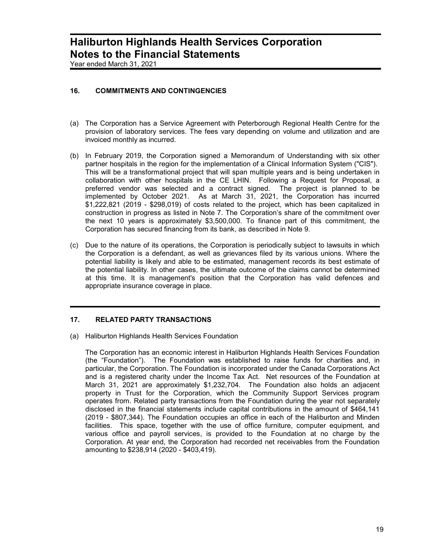Year ended March 31, 2021

### 16. COMMITMENTS AND CONTINGENCIES

- (a) The Corporation has a Service Agreement with Peterborough Regional Health Centre for the provision of laboratory services. The fees vary depending on volume and utilization and are invoiced monthly as incurred.
- (b) In February 2019, the Corporation signed a Memorandum of Understanding with six other partner hospitals in the region for the implementation of a Clinical Information System ("CIS"). This will be a transformational project that will span multiple years and is being undertaken in collaboration with other hospitals in the CE LHIN. Following a Request for Proposal, a preferred vendor was selected and a contract signed. The project is planned to be implemented by October 2021. As at March 31, 2021, the Corporation has incurred \$1,222,821 (2019 - \$298,019) of costs related to the project, which has been capitalized in construction in progress as listed in Note 7. The Corporation's share of the commitment over the next 10 years is approximately \$3,500,000. To finance part of this commitment, the Corporation has secured financing from its bank, as described in Note 9.
- (c) Due to the nature of its operations, the Corporation is periodically subject to lawsuits in which the Corporation is a defendant, as well as grievances filed by its various unions. Where the potential liability is likely and able to be estimated, management records its best estimate of the potential liability. In other cases, the ultimate outcome of the claims cannot be determined at this time. It is management's position that the Corporation has valid defences and appropriate insurance coverage in place.

#### 17. RELATED PARTY TRANSACTIONS

(a) Haliburton Highlands Health Services Foundation

The Corporation has an economic interest in Haliburton Highlands Health Services Foundation (the "Foundation"). The Foundation was established to raise funds for charities and, in particular, the Corporation. The Foundation is incorporated under the Canada Corporations Act and is a registered charity under the Income Tax Act. Net resources of the Foundation at March 31, 2021 are approximately \$1,232,704. The Foundation also holds an adjacent property in Trust for the Corporation, which the Community Support Services program operates from. Related party transactions from the Foundation during the year not separately disclosed in the financial statements include capital contributions in the amount of \$464,141 (2019 - \$807,344). The Foundation occupies an office in each of the Haliburton and Minden facilities. This space, together with the use of office furniture, computer equipment, and various office and payroll services, is provided to the Foundation at no charge by the Corporation. At year end, the Corporation had recorded net receivables from the Foundation amounting to \$238,914 (2020 - \$403,419).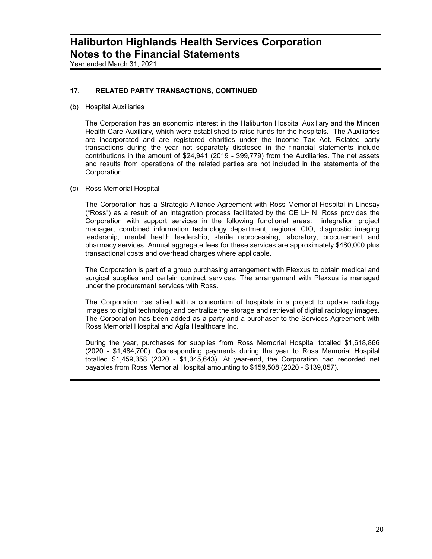Year ended March 31, 2021

### 17. RELATED PARTY TRANSACTIONS, CONTINUED

(b) Hospital Auxiliaries

The Corporation has an economic interest in the Haliburton Hospital Auxiliary and the Minden Health Care Auxiliary, which were established to raise funds for the hospitals. The Auxiliaries are incorporated and are registered charities under the Income Tax Act. Related party transactions during the year not separately disclosed in the financial statements include contributions in the amount of \$24,941 (2019 - \$99,779) from the Auxiliaries. The net assets and results from operations of the related parties are not included in the statements of the Corporation.

(c) Ross Memorial Hospital

The Corporation has a Strategic Alliance Agreement with Ross Memorial Hospital in Lindsay ("Ross") as a result of an integration process facilitated by the CE LHIN. Ross provides the Corporation with support services in the following functional areas: integration project manager, combined information technology department, regional CIO, diagnostic imaging leadership, mental health leadership, sterile reprocessing, laboratory, procurement and pharmacy services. Annual aggregate fees for these services are approximately \$480,000 plus transactional costs and overhead charges where applicable.

The Corporation is part of a group purchasing arrangement with Plexxus to obtain medical and surgical supplies and certain contract services. The arrangement with Plexxus is managed under the procurement services with Ross.

The Corporation has allied with a consortium of hospitals in a project to update radiology images to digital technology and centralize the storage and retrieval of digital radiology images. The Corporation has been added as a party and a purchaser to the Services Agreement with Ross Memorial Hospital and Agfa Healthcare Inc.

During the year, purchases for supplies from Ross Memorial Hospital totalled \$1,618,866 (2020 - \$1,484,700). Corresponding payments during the year to Ross Memorial Hospital totalled \$1,459,358 (2020 - \$1,345,643). At year-end, the Corporation had recorded net payables from Ross Memorial Hospital amounting to \$159,508 (2020 - \$139,057).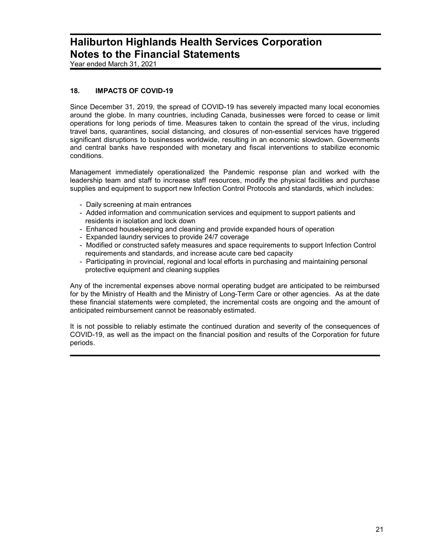Year ended March 31, 2021

### 18. IMPACTS OF COVID-19

Since December 31, 2019, the spread of COVID-19 has severely impacted many local economies around the globe. In many countries, including Canada, businesses were forced to cease or limit operations for long periods of time. Measures taken to contain the spread of the virus, including travel bans, quarantines, social distancing, and closures of non-essential services have triggered significant disruptions to businesses worldwide, resulting in an economic slowdown. Governments and central banks have responded with monetary and fiscal interventions to stabilize economic conditions.

Management immediately operationalized the Pandemic response plan and worked with the leadership team and staff to increase staff resources, modify the physical facilities and purchase supplies and equipment to support new Infection Control Protocols and standards, which includes:

- Daily screening at main entrances
- Added information and communication services and equipment to support patients and residents in isolation and lock down
- Enhanced housekeeping and cleaning and provide expanded hours of operation
- Expanded laundry services to provide 24/7 coverage
- Modified or constructed safety measures and space requirements to support Infection Control requirements and standards, and increase acute care bed capacity
- Participating in provincial, regional and local efforts in purchasing and maintaining personal protective equipment and cleaning supplies

Any of the incremental expenses above normal operating budget are anticipated to be reimbursed for by the Ministry of Health and the Ministry of Long-Term Care or other agencies. As at the date these financial statements were completed, the incremental costs are ongoing and the amount of anticipated reimbursement cannot be reasonably estimated.

It is not possible to reliably estimate the continued duration and severity of the consequences of COVID-19, as well as the impact on the financial position and results of the Corporation for future periods.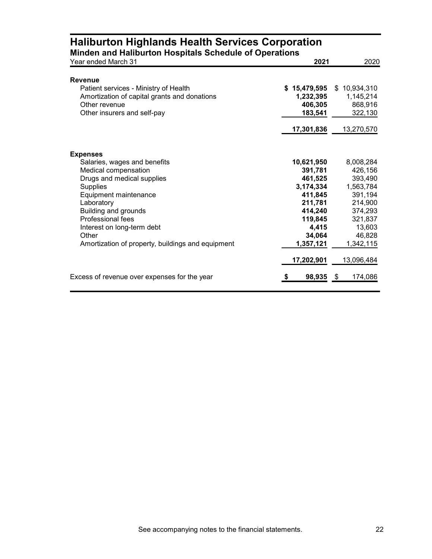| <b>Haliburton Highlands Health Services Corporation</b><br>Minden and Haliburton Hospitals Schedule of Operations<br>Year ended March 31 | 2021         | 2020            |
|------------------------------------------------------------------------------------------------------------------------------------------|--------------|-----------------|
|                                                                                                                                          |              |                 |
| <b>Revenue</b>                                                                                                                           |              |                 |
| Patient services - Ministry of Health                                                                                                    | \$15,479,595 | \$10,934,310    |
| Amortization of capital grants and donations                                                                                             | 1,232,395    | 1,145,214       |
| Other revenue                                                                                                                            | 406,305      | 868,916         |
| Other insurers and self-pay                                                                                                              | 183,541      | 322,130         |
|                                                                                                                                          | 17,301,836   | 13,270,570      |
|                                                                                                                                          |              |                 |
| <b>Expenses</b>                                                                                                                          |              |                 |
| Salaries, wages and benefits                                                                                                             | 10,621,950   | 8,008,284       |
| Medical compensation                                                                                                                     | 391,781      | 426,156         |
| Drugs and medical supplies                                                                                                               | 461,525      | 393,490         |
| <b>Supplies</b>                                                                                                                          | 3,174,334    | 1,563,784       |
| Equipment maintenance                                                                                                                    | 411,845      | 391,194         |
| Laboratory                                                                                                                               | 211,781      | 214,900         |
| Building and grounds                                                                                                                     | 414,240      | 374,293         |
| Professional fees                                                                                                                        | 119,845      | 321,837         |
| Interest on long-term debt                                                                                                               | 4,415        | 13,603          |
| Other                                                                                                                                    | 34,064       | 46,828          |
| Amortization of property, buildings and equipment                                                                                        | 1,357,121    | 1,342,115       |
|                                                                                                                                          | 17,202,901   | 13,096,484      |
| Excess of revenue over expenses for the year                                                                                             | 98,935<br>\$ | - \$<br>174,086 |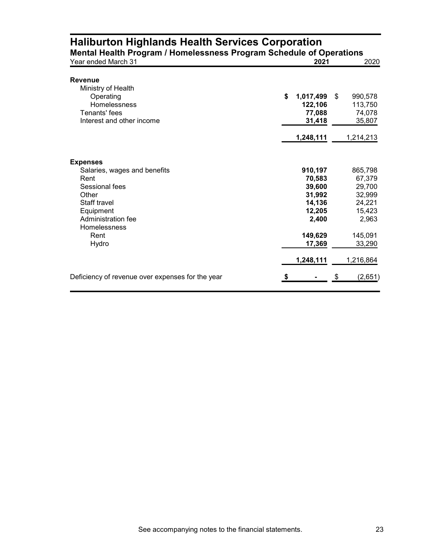| Year ended March 31                              | 2021            | 2020          |
|--------------------------------------------------|-----------------|---------------|
| <b>Revenue</b>                                   |                 |               |
| Ministry of Health                               |                 |               |
| Operating                                        | \$<br>1,017,499 | \$<br>990,578 |
| Homelessness                                     | 122,106         | 113,750       |
| Tenants' fees                                    | 77,088          | 74,078        |
| Interest and other income                        | 31,418          | 35,807        |
|                                                  | 1,248,111       | 1,214,213     |
| <b>Expenses</b>                                  |                 |               |
| Salaries, wages and benefits                     | 910,197         | 865,798       |
| Rent                                             | 70,583          | 67,379        |
| Sessional fees                                   | 39,600          | 29,700        |
| Other                                            | 31,992          | 32,999        |
| Staff travel                                     | 14,136          | 24,221        |
| Equipment                                        | 12,205          | 15,423        |
| Administration fee<br>Homelessness               | 2,400           | 2,963         |
| Rent                                             | 149,629         | 145,091       |
| Hydro                                            | 17,369          | 33,290        |
|                                                  | 1,248,111       | 1,216,864     |
| Deficiency of revenue over expenses for the year | \$              | \$<br>(2,651) |

## Haliburton Highlands Health Services Corporation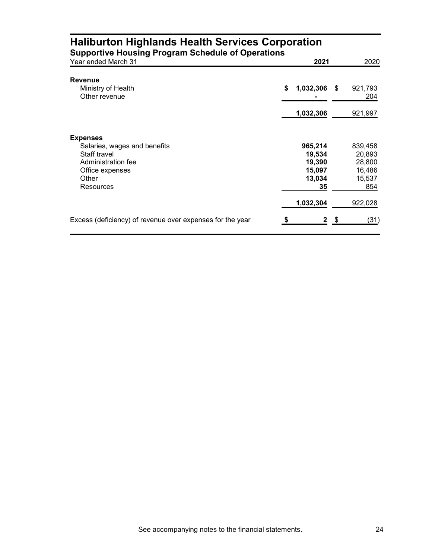| <b>Haliburton Highlands Health Services Corporation</b><br><b>Supportive Housing Program Schedule of Operations</b> |    |                  |      |                  |
|---------------------------------------------------------------------------------------------------------------------|----|------------------|------|------------------|
| Year ended March 31                                                                                                 |    | 2021             |      | 2020             |
| Revenue                                                                                                             |    |                  |      |                  |
| Ministry of Health<br>Other revenue                                                                                 | \$ | 1,032,306        | S    | 921,793<br>204   |
|                                                                                                                     |    | 1,032,306        |      | 921,997          |
| <b>Expenses</b>                                                                                                     |    |                  |      |                  |
| Salaries, wages and benefits                                                                                        |    | 965,214          |      | 839,458          |
| Staff travel<br>Administration fee                                                                                  |    | 19,534<br>19,390 |      | 20,893<br>28,800 |
| Office expenses                                                                                                     |    | 15,097           |      | 16,486           |
| Other                                                                                                               |    | 13,034           |      | 15,537           |
| Resources                                                                                                           |    | 35               |      | 854              |
|                                                                                                                     |    | 1,032,304        |      | 922,028          |
| Excess (deficiency) of revenue over expenses for the year                                                           |    | 2                | - \$ | (31)             |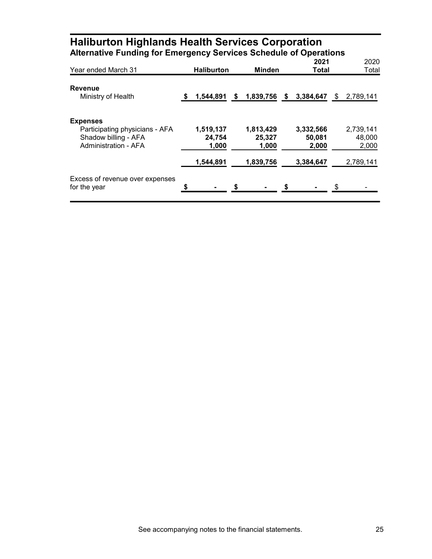| <b>Alternative Funding for Emergency Services Schedule of Operations</b>                                 |    |                                           |                                           |               |                                           |                                           |
|----------------------------------------------------------------------------------------------------------|----|-------------------------------------------|-------------------------------------------|---------------|-------------------------------------------|-------------------------------------------|
| Year ended March 31                                                                                      |    | <b>Haliburton</b>                         | Minden                                    |               | 2021<br>Total                             | 2020<br>Total                             |
| <b>Revenue</b><br>Ministry of Health                                                                     | \$ | 1,544,891                                 | \$<br>1,839,756                           | $\sqrt[6]{3}$ | 3,384,647                                 | \$<br>2,789,141                           |
| <b>Expenses</b><br>Participating physicians - AFA<br>Shadow billing - AFA<br><b>Administration - AFA</b> |    | 1,519,137<br>24,754<br>1,000<br>1,544,891 | 1,813,429<br>25,327<br>1,000<br>1,839,756 |               | 3,332,566<br>50,081<br>2,000<br>3,384,647 | 2,739,141<br>48,000<br>2,000<br>2,789,141 |
| Excess of revenue over expenses<br>for the year                                                          | S  |                                           |                                           | S             |                                           | \$                                        |

# Haliburton Highlands Health Services Corporation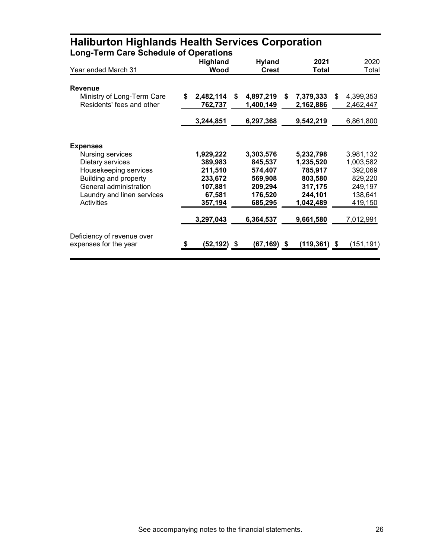| Long-Term care Schedule of Operations                   | <b>Highland</b>            | <b>Hyland</b>                | 2021                         | 2020                         |
|---------------------------------------------------------|----------------------------|------------------------------|------------------------------|------------------------------|
| Year ended March 31                                     | Wood                       | <b>Crest</b>                 | <b>Total</b>                 | Total                        |
| <b>Revenue</b>                                          |                            |                              |                              |                              |
| Ministry of Long-Term Care<br>Residents' fees and other | \$<br>2,482,114<br>762,737 | \$<br>4,897,219<br>1,400,149 | 7,379,333<br>\$<br>2,162,886 | 4,399,353<br>\$<br>2,462,447 |
|                                                         | 3,244,851                  | 6,297,368                    | 9,542,219                    | 6,861,800                    |
| <b>Expenses</b>                                         |                            |                              |                              |                              |
| Nursing services                                        | 1,929,222                  | 3,303,576                    | 5,232,798                    | 3,981,132                    |
| Dietary services                                        | 389,983                    | 845,537                      | 1,235,520                    | 1,003,582                    |
| Housekeeping services<br>Building and property          | 211,510<br>233,672         | 574,407<br>569,908           | 785,917<br>803,580           | 392,069<br>829,220           |
| General administration                                  | 107,881                    | 209,294                      | 317,175                      | 249,197                      |
| Laundry and linen services                              | 67,581                     | 176,520                      | 244,101                      | 138,641                      |
| <b>Activities</b>                                       | 357,194                    | 685,295                      | 1,042,489                    | 419,150                      |
|                                                         | 3,297,043                  | 6,364,537                    | 9,661,580                    | 7,012,991                    |
| Deficiency of revenue over<br>expenses for the year     | \$<br>(52,192) \$          | (67,169) \$                  | (119,361)                    | (151, 191)<br>\$             |

### Haliburton Highlands Health Services Corporation Long-Term Care Schedule of Operations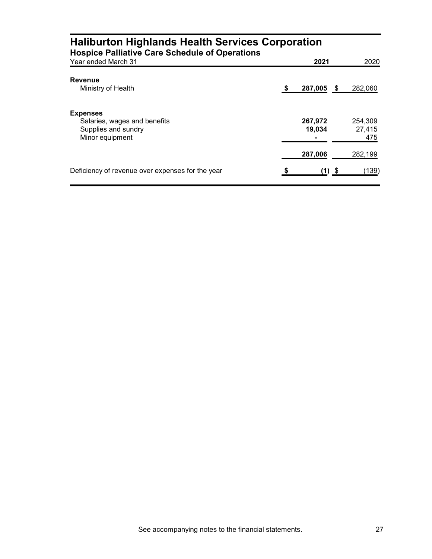| <b>Haliburton Highlands Health Services Corporation</b><br><b>Hospice Palliative Care Schedule of Operations</b> |   |                   |      |                          |
|------------------------------------------------------------------------------------------------------------------|---|-------------------|------|--------------------------|
| Year ended March 31                                                                                              |   | 2021              |      | 2020                     |
| Revenue<br>Ministry of Health                                                                                    | S | 287,005           | - \$ | 282,060                  |
| <b>Expenses</b><br>Salaries, wages and benefits<br>Supplies and sundry<br>Minor equipment                        |   | 267,972<br>19,034 |      | 254.309<br>27,415<br>475 |
|                                                                                                                  |   | 287,006           |      | 282,199                  |
| Deficiency of revenue over expenses for the year                                                                 |   |                   |      | (139)                    |

### See accompanying notes to the financial statements. 27